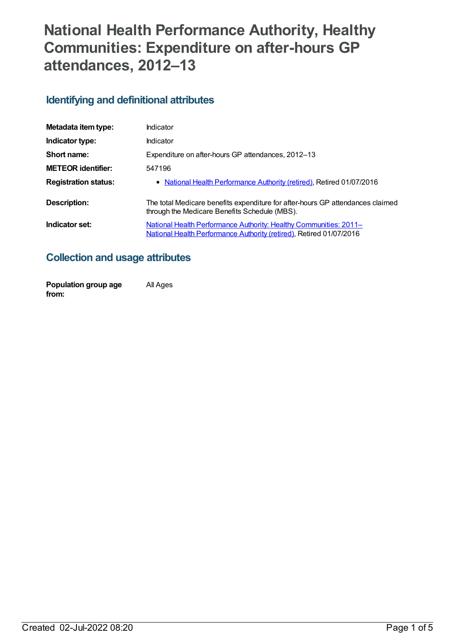# **National Health Performance Authority, Healthy Communities: Expenditure on after-hours GP attendances, 2012–13**

### **Identifying and definitional attributes**

| Metadata item type:         | Indicator                                                                                                                                |
|-----------------------------|------------------------------------------------------------------------------------------------------------------------------------------|
| Indicator type:             | Indicator                                                                                                                                |
| Short name:                 | Expenditure on after-hours GP attendances, 2012–13                                                                                       |
| <b>METEOR identifier:</b>   | 547196                                                                                                                                   |
| <b>Registration status:</b> | • National Health Performance Authority (retired), Retired 01/07/2016                                                                    |
| Description:                | The total Medicare benefits expenditure for after-hours GP attendances claimed<br>through the Medicare Benefits Schedule (MBS).          |
| Indicator set:              | National Health Performance Authority: Healthy Communities: 2011-<br>National Health Performance Authority (retired), Retired 01/07/2016 |

### **Collection and usage attributes**

| Population group age | All Ages |
|----------------------|----------|
| from:                |          |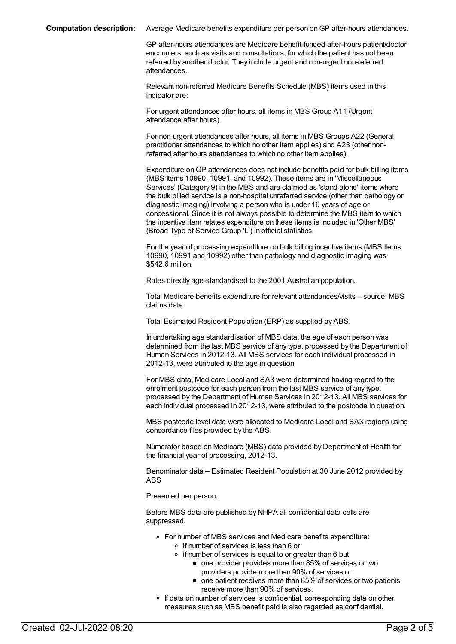**Computation description:** Average Medicare benefits expenditure per person onGP after-hours attendances.

GP after-hours attendances are Medicare benefit-funded after-hours patient/doctor encounters, such as visits and consultations, for which the patient has not been referred by another doctor. They include urgent and non-urgent non-referred attendances.

Relevant non-referred Medicare Benefits Schedule (MBS) items used in this indicator are:

For urgent attendances after hours, all items in MBS Group A11 (Urgent attendance after hours).

For non-urgent attendances after hours, all items in MBS Groups A22 (General practitioner attendances to which no other item applies) and A23 (other nonreferred after hours attendances to which no other item applies).

Expenditure onGP attendances does not include benefits paid for bulk billing items (MBS Items 10990, 10991, and 10992). These items are in 'Miscellaneous Services' (Category 9) in the MBS and are claimed as 'stand alone' items where the bulk billed service is a non-hospital unreferred service (other than pathology or diagnostic imaging) involving a person who is under 16 years of age or concessional. Since it is not always possible to determine the MBS item to which the incentive item relates expenditure on these items is included in 'Other MBS' (Broad Type of Service Group 'L') in official statistics.

For the year of processing expenditure on bulk billing incentive items (MBS Items 10990, 10991 and 10992) other than pathology and diagnostic imaging was \$542.6 million.

Rates directly age-standardised to the 2001 Australian population.

Total Medicare benefits expenditure for relevant attendances/visits – source: MBS claims data.

Total Estimated Resident Population (ERP) as supplied by ABS.

In undertaking age standardisation of MBS data, the age of each person was determined from the last MBS service of any type, processed by the Department of Human Services in 2012-13. All MBS services for each individual processed in 2012-13, were attributed to the age in question.

For MBS data, Medicare Local and SA3 were determined having regard to the enrolment postcode for each person from the last MBS service of any type, processed by the Department of Human Services in 2012-13. All MBS services for each individual processed in 2012-13, were attributed to the postcode in question.

MBS postcode level data were allocated to Medicare Local and SA3 regions using concordance files provided by the ABS.

Numerator based on Medicare (MBS) data provided by Department of Health for the financial year of processing, 2012-13.

Denominator data – Estimated Resident Population at 30 June 2012 provided by ABS

Presented per person.

Before MBS data are published by NHPA all confidential data cells are suppressed.

- For number of MBS services and Medicare benefits expenditure: o if number of services is less than 6 or
	- $\circ$  if number of services is equal to or greater than 6 but
		- one provider provides more than 85% of services or two providers provide more than 90% of services or
		- one patient receives more than 85% of services or two patients receive more than 90% of services.
- If data on number of services is confidential, corresponding data on other measures such as MBS benefit paid is also regarded as confidential.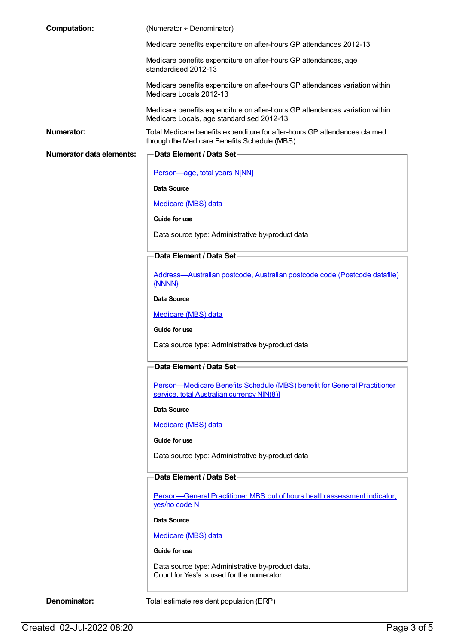| <b>Computation:</b>             | (Numerator ÷ Denominator)                                                                                                  |
|---------------------------------|----------------------------------------------------------------------------------------------------------------------------|
|                                 | Medicare benefits expenditure on after-hours GP attendances 2012-13                                                        |
|                                 | Medicare benefits expenditure on after-hours GP attendances, age<br>standardised 2012-13                                   |
|                                 | Medicare benefits expenditure on after-hours GP attendances variation within<br>Medicare Locals 2012-13                    |
|                                 | Medicare benefits expenditure on after-hours GP attendances variation within<br>Medicare Locals, age standardised 2012-13  |
| Numerator:                      | Total Medicare benefits expenditure for after-hours GP attendances claimed<br>through the Medicare Benefits Schedule (MBS) |
| <b>Numerator data elements:</b> | Data Element / Data Set-                                                                                                   |
|                                 | Person-age, total years N[NN]                                                                                              |
|                                 | Data Source                                                                                                                |
|                                 | Medicare (MBS) data                                                                                                        |
|                                 | Guide for use                                                                                                              |
|                                 | Data source type: Administrative by-product data                                                                           |
|                                 | Data Element / Data Set-                                                                                                   |
|                                 | Address-Australian postcode, Australian postcode code (Postcode datafile)<br>{NNNN}                                        |
|                                 | <b>Data Source</b>                                                                                                         |
|                                 | Medicare (MBS) data                                                                                                        |
|                                 | Guide for use                                                                                                              |
|                                 | Data source type: Administrative by-product data                                                                           |
|                                 | Data Element / Data Set-                                                                                                   |
|                                 | Person-Medicare Benefits Schedule (MBS) benefit for General Practitioner<br>service, total Australian currency N[N(8)]     |
|                                 | <b>Data Source</b>                                                                                                         |
|                                 | Medicare (MBS) data                                                                                                        |
|                                 | Guide for use                                                                                                              |
|                                 | Data source type: Administrative by-product data                                                                           |
|                                 | Data Element / Data Set-                                                                                                   |
|                                 | Person-General Practitioner MBS out of hours health assessment indicator,<br>yes/no code N                                 |
|                                 | <b>Data Source</b>                                                                                                         |
|                                 | Medicare (MBS) data                                                                                                        |
|                                 | Guide for use                                                                                                              |
|                                 | Data source type: Administrative by-product data.<br>Count for Yes's is used for the numerator.                            |
| Denominator:                    | Total estimate resident population (ERP)                                                                                   |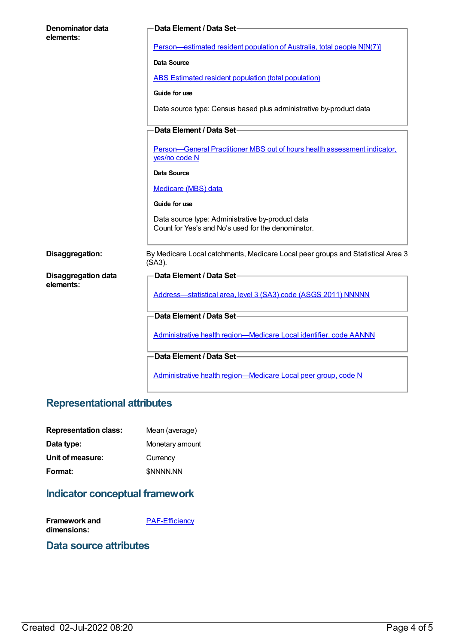| Denominator data<br>elements: | Data Element / Data Set-                                                                               |
|-------------------------------|--------------------------------------------------------------------------------------------------------|
|                               | Person-estimated resident population of Australia, total people N[N(7)]                                |
|                               | <b>Data Source</b>                                                                                     |
|                               | <b>ABS Estimated resident population (total population)</b>                                            |
|                               | Guide for use                                                                                          |
|                               | Data source type: Census based plus administrative by-product data                                     |
|                               | Data Element / Data Set-                                                                               |
|                               | Person-General Practitioner MBS out of hours health assessment indicator,<br>yes/no code N             |
|                               | Data Source                                                                                            |
|                               | Medicare (MBS) data                                                                                    |
|                               | Guide for use                                                                                          |
|                               | Data source type: Administrative by-product data<br>Count for Yes's and No's used for the denominator. |
| Disaggregation:               | By Medicare Local catchments, Medicare Local peer groups and Statistical Area 3<br>(SA3).              |
| <b>Disaggregation data</b>    | Data Element / Data Set-                                                                               |
| elements:                     | Address-statistical area, level 3 (SA3) code (ASGS 2011) NNNNN                                         |
|                               | Data Element / Data Set-                                                                               |
|                               | Administrative health region-Medicare Local identifier, code AANNN                                     |
|                               | Data Element / Data Set-                                                                               |
|                               | Administrative health region-Medicare Local peer group, code N                                         |

## **Representational attributes**

| <b>Representation class:</b> | Mean (average)   |
|------------------------------|------------------|
| Data type:                   | Monetary amount  |
| Unit of measure:             | Currency         |
| Format:                      | <b>\$NNNN.NN</b> |

# **Indicator conceptual framework**

| Framework and | <b>PAF-Efficiency</b> |
|---------------|-----------------------|
| dimensions:   |                       |

#### **Data source attributes**